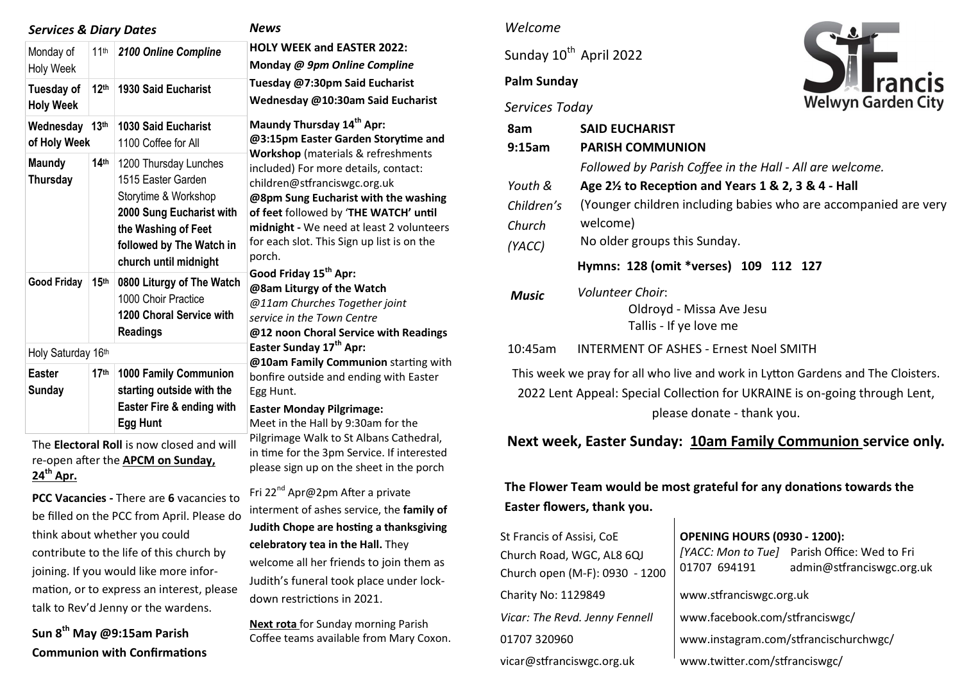| <b>Services &amp; Diary Dates</b>         |                  |                                                                                                                                                                             | <b>News</b>                                                                                                                                                                                                                                                                                     |  |
|-------------------------------------------|------------------|-----------------------------------------------------------------------------------------------------------------------------------------------------------------------------|-------------------------------------------------------------------------------------------------------------------------------------------------------------------------------------------------------------------------------------------------------------------------------------------------|--|
| Monday of<br><b>Holy Week</b>             | 11 <sup>th</sup> | 2100 Online Compline                                                                                                                                                        | <b>HOLY WEEK and EASTER 2022:</b><br>Monday @ 9pm Online Compline                                                                                                                                                                                                                               |  |
| Tuesday of<br><b>Holy Week</b>            | 12 <sup>th</sup> | <b>1930 Said Eucharist</b>                                                                                                                                                  | Tuesday @7:30pm Said Eucharist<br>Wednesday @10:30am Said Eucharist<br>Maundy Thursday 14 <sup>th</sup> Apr:<br>@3:15pm Easter Garden Storytime and                                                                                                                                             |  |
| Wednesday<br>of Holy Week                 | 13 <sup>th</sup> | <b>1030 Said Eucharist</b><br>1100 Coffee for All                                                                                                                           |                                                                                                                                                                                                                                                                                                 |  |
| <b>Maundy</b><br>Thursday                 | 14 <sup>th</sup> | 1200 Thursday Lunches<br>1515 Easter Garden<br>Storytime & Workshop<br>2000 Sung Eucharist with<br>the Washing of Feet<br>followed by The Watch in<br>church until midnight | Workshop (materials & refreshments<br>included) For more details, contact:<br>children@stfranciswgc.org.uk<br>@8pm Sung Eucharist with the washing<br>of feet followed by 'THE WATCH' until<br>midnight - We need at least 2 volunteers<br>for each slot. This Sign up list is on the<br>porch. |  |
| <b>Good Friday</b>                        | 15 <sup>th</sup> | 0800 Liturgy of The Watch<br>1000 Choir Practice<br>1200 Choral Service with<br><b>Readings</b>                                                                             | Good Friday 15 <sup>th</sup> Apr:<br>@8am Liturgy of the Watch<br>@11am Churches Together joint<br>service in the Town Centre<br>@12 noon Choral Service with Readings                                                                                                                          |  |
| Holy Saturday 16th                        |                  |                                                                                                                                                                             | Easter Sunday 17 <sup>th</sup> Apr:<br>@10am Family Communion starting with                                                                                                                                                                                                                     |  |
| <b>Easter</b><br><b>Sunday</b>            | 17 <sup>th</sup> | 1000 Family Communion<br>starting outside with the<br>Easter Fire & ending with<br><b>Egg Hunt</b>                                                                          | bonfire outside and ending with Easter<br>Egg Hunt.<br><b>Easter Monday Pilgrimage:</b><br>Meet in the Hall by 9:30am for the                                                                                                                                                                   |  |
| The Electoral Roll is now closed and will |                  |                                                                                                                                                                             | Pilgrimage Walk to St Albans Cathedral,<br>in time for the 3pm Service. If interested                                                                                                                                                                                                           |  |

The **Electoral Roll** is now closed and will re-open after the **APCM on Sunday, 24th Apr.**

**PCC Vacancies -** There are **6** vacancies to be filled on the PCC from April. Please do think about whether you could contribute to the life of this church by joining. If you would like more information, or to express an interest, please talk to Rev'd Jenny or the wardens.

**Sun 8th May @9:15am Parish Communion with Confirmations** 

### *Welcome*

Sunday 10<sup>th</sup> April 2022

## **Palm Sunday**



*Services Today*

please sign up on the sheet in the porch

| 8am<br>9:15am                                                                   | <b>SAID EUCHARIST</b><br><b>PARISH COMMUNION</b>                       |  |  |  |
|---------------------------------------------------------------------------------|------------------------------------------------------------------------|--|--|--|
|                                                                                 | Followed by Parish Coffee in the Hall - All are welcome.               |  |  |  |
| Youth &                                                                         | Age 2 <sup>1/2</sup> to Reception and Years 1 & 2, 3 & 4 - Hall        |  |  |  |
| Children's                                                                      | (Younger children including babies who are accompanied are very        |  |  |  |
| Church                                                                          | welcome)                                                               |  |  |  |
| (YACC)                                                                          | No older groups this Sunday.                                           |  |  |  |
| Hymns: 128 (omit *verses) 109 112 127                                           |                                                                        |  |  |  |
| <b>Music</b>                                                                    | Volunteer Choir:<br>Oldroyd - Missa Ave Jesu<br>Tallis - If ye love me |  |  |  |
| 10:45am                                                                         | <b>INTERMENT OF ASHES - Ernest Noel SMITH</b>                          |  |  |  |
| This wook we pray for all who live and work in Lytton Gardons and The Cloistors |                                                                        |  |  |  |

This week we pray for all who live and work in Lytton Gardens and The Cloisters. 2022 Lent Appeal: Special Collection for UKRAINE is on-going through Lent, please donate - thank you.

## **Next week, Easter Sunday: 10am Family Communion service only.**

# **The Flower Team would be most grateful for any donations towards the Easter flowers, thank you.**

| St Francis of Assisi, CoE<br>Church Road, WGC, AL8 6QJ<br>Church open (M-F): 0930 - 1200 | <b>OPENING HOURS (0930 - 1200):</b><br>01707 694191 | [YACC: Mon to Tue] Parish Office: Wed to Fri<br>admin@stfranciswgc.org.uk |  |
|------------------------------------------------------------------------------------------|-----------------------------------------------------|---------------------------------------------------------------------------|--|
| Charity No: 1129849                                                                      | www.stfranciswgc.org.uk                             |                                                                           |  |
| Vicar: The Revd. Jenny Fennell                                                           | www.facebook.com/stfranciswgc/                      |                                                                           |  |
| 01707 320960                                                                             | www.instagram.com/stfrancischurchwgc/               |                                                                           |  |
| vicar@stfranciswgc.org.uk                                                                | www.twitter.com/stfranciswgc/                       |                                                                           |  |

Fri 22<sup>nd</sup> Apr@2pm After a private interment of ashes service, the **family of Judith Chope are hosting a thanksgiving** 

**celebratory tea in the Hall.** They welcome all her friends to join them as Judith's funeral took place under lockdown restrictions in 2021.

**Next rota** for Sunday morning Parish Coffee teams available from Mary Coxon.